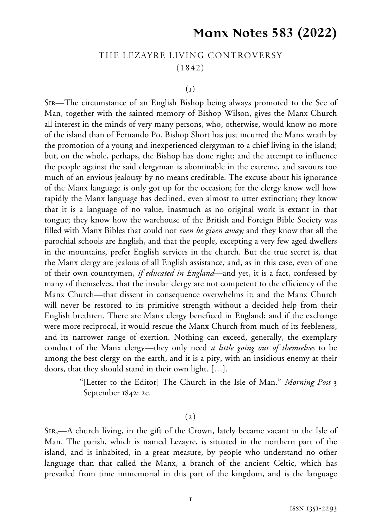## **Manx Notes 583 (2022)**

## THE LEZAYRE LIVING CONTROVERSY (1842)

## $(1)$

Sir—The circumstance of an English Bishop being always promoted to the See of Man, together with the sainted memory of Bishop Wilson, gives the Manx Church all interest in the minds of very many persons, who, otherwise, would know no more of the island than of Fernando Po. Bishop Short has just incurred the Manx wrath by the promotion of a young and inexperienced clergyman to a chief living in the island; but, on the whole, perhaps, the Bishop has done right; and the attempt to influence the people against the said clergyman is abominable in the extreme, and savours too much of an envious jealousy by no means creditable. The excuse about his ignorance of the Manx language is only got up for the occasion; for the clergy know well how rapidly the Manx language has declined, even almost to utter extinction; they know that it is a language of no value, inasmuch as no original work is extant in that tongue; they know how the warehouse of the British and Foreign Bible Society was filled with Manx Bibles that could not *even be given away;* and they know that all the parochial schools are English, and that the people, excepting a very few aged dwellers in the mountains, prefer English services in the church. But the true secret is, that the Manx clergy are jealous of all English assistance, and, as in this case, even of one of their own countrymen, *if educated in England*—and yet, it is a fact, confessed by many of themselves, that the insular clergy are not competent to the efficiency of the Manx Church—that dissent in consequence overwhelms it; and the Manx Church will never be restored to its primitive strength without a decided help from their English brethren. There are Manx clergy beneficed in England; and if the exchange were more reciprocal, it would rescue the Manx Church from much of its feebleness, and its narrower range of exertion. Nothing can exceed, generally, the exemplary conduct of the Manx clergy—they only need *a little going out of themselves* to be among the best clergy on the earth, and it is a pity, with an insidious enemy at their doors, that they should stand in their own light. […].

> "[Letter to the Editor] The Church in the Isle of Man." *Morning Post* 3 September 1842: 2e.

## $(2)$

Sir,—A church living, in the gift of the Crown, lately became vacant in the Isle of Man. The parish, which is named Lezayre, is situated in the northern part of the island, and is inhabited, in a great measure, by people who understand no other language than that called the Manx, a branch of the ancient Celtic, which has prevailed from time immemorial in this part of the kingdom, and is the language